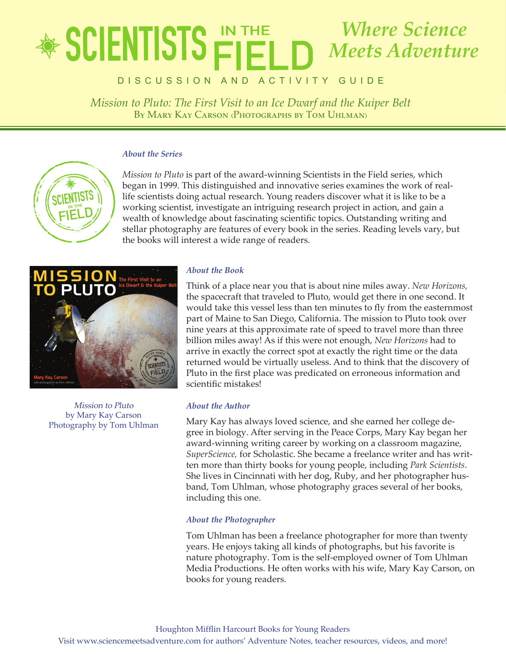## lete in the state of **Mission The Pluto: The First Industry And Ice Development and Telecomputation and Telecomputation and the Kuiper Belt and Telecomputation and the Kuiper Belt and Telecomputation and the Rich and Telecomputation and Teleco** *Where Science Meets Adventure*

*By Mary Kay Carson (Photographs by Tom Uhlman)* Discussion an d activity Gui d e

*Mission to Pluto: The First Visit to an Ice Dwarf and the Kuiper Belt* By Mary Kay Carson (Photographs by Tom Uhlman)

#### *About the Series*



*Mission to Pluto* is part of the award-winning Scientists in the Field series, which began in 1999. This distinguished and innovative series examines the work of reallife scientists doing actual research. Young readers discover what it is like to be a working scientist, investigate an intriguing research project in action, and gain a wealth of knowledge about fascinating scientific topics. Outstanding writing and stellar photography are features of every book in the series. Reading levels vary, but the books will interest a wide range of readers.



Mission to Pluto by Mary Kay Carson Photography by Tom Uhlman

#### *About the Book*

Think of a place near you that is about nine miles away. *New Horizons,* the spacecraft that traveled to Pluto, would get there in one second. It would take this vessel less than ten minutes to fly from the easternmost part of Maine to San Diego, California. The mission to Pluto took over nine years at this approximate rate of speed to travel more than three billion miles away! As if this were not enough, *New Horizons* had to arrive in exactly the correct spot at exactly the right time or the data returned would be virtually useless. And to think that the discovery of Pluto in the first place was predicated on erroneous information and scientific mistakes!

#### *About the Author*

Mary Kay has always loved science, and she earned her college degree in biology. After serving in the Peace Corps, Mary Kay began her award-winning writing career by working on a classroom magazine, *SuperScience,* for Scholastic. She became a freelance writer and has written more than thirty books for young people, including *Park Scientists*. She lives in Cincinnati with her dog, Ruby, and her photographer husband, Tom Uhlman, whose photography graces several of her books, including this one.

#### *About the Photographer*

Tom Uhlman has been a freelance photographer for more than twenty years. He enjoys taking all kinds of photographs, but his favorite is nature photography. Tom is the self-employed owner of Tom Uhlman Media Productions. He often works with his wife, Mary Kay Carson, on books for young readers.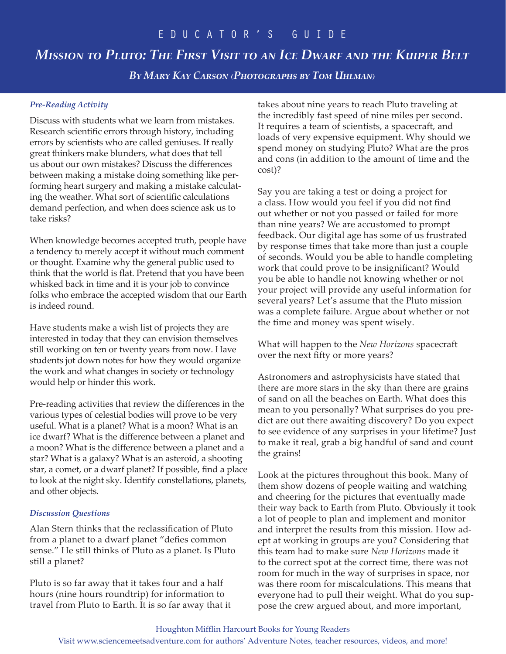## *Mission to Pluto: The First Visit to an Ice Dwarf and the Kuiper Belt*

*By Mary Kay Carson (Photographs by Tom Uhlman)*

#### *Pre-Reading Activity*

Discuss with students what we learn from mistakes. Research scientific errors through history, including errors by scientists who are called geniuses. If really great thinkers make blunders, what does that tell us about our own mistakes? Discuss the differences between making a mistake doing something like performing heart surgery and making a mistake calculating the weather. What sort of scientific calculations demand perfection, and when does science ask us to take risks?

When knowledge becomes accepted truth, people have a tendency to merely accept it without much comment or thought. Examine why the general public used to think that the world is flat. Pretend that you have been whisked back in time and it is your job to convince folks who embrace the accepted wisdom that our Earth is indeed round.

Have students make a wish list of projects they are interested in today that they can envision themselves still working on ten or twenty years from now. Have students jot down notes for how they would organize the work and what changes in society or technology would help or hinder this work.

Pre-reading activities that review the differences in the various types of celestial bodies will prove to be very useful. What is a planet? What is a moon? What is an ice dwarf? What is the difference between a planet and a moon? What is the difference between a planet and a star? What is a galaxy? What is an asteroid, a shooting star, a comet, or a dwarf planet? If possible, find a place to look at the night sky. Identify constellations, planets, and other objects.

#### *Discussion Questions*

Alan Stern thinks that the reclassification of Pluto from a planet to a dwarf planet "defies common sense." He still thinks of Pluto as a planet. Is Pluto still a planet?

Pluto is so far away that it takes four and a half hours (nine hours roundtrip) for information to travel from Pluto to Earth. It is so far away that it takes about nine years to reach Pluto traveling at the incredibly fast speed of nine miles per second. It requires a team of scientists, a spacecraft, and loads of very expensive equipment. Why should we spend money on studying Pluto? What are the pros and cons (in addition to the amount of time and the cost)?

Say you are taking a test or doing a project for a class. How would you feel if you did not find out whether or not you passed or failed for more than nine years? We are accustomed to prompt feedback. Our digital age has some of us frustrated by response times that take more than just a couple of seconds. Would you be able to handle completing work that could prove to be insignificant? Would you be able to handle not knowing whether or not your project will provide any useful information for several years? Let's assume that the Pluto mission was a complete failure. Argue about whether or not the time and money was spent wisely.

What will happen to the *New Horizons* spacecraft over the next fifty or more years?

Astronomers and astrophysicists have stated that there are more stars in the sky than there are grains of sand on all the beaches on Earth. What does this mean to you personally? What surprises do you predict are out there awaiting discovery? Do you expect to see evidence of any surprises in your lifetime? Just to make it real, grab a big handful of sand and count the grains!

Look at the pictures throughout this book. Many of them show dozens of people waiting and watching and cheering for the pictures that eventually made their way back to Earth from Pluto. Obviously it took a lot of people to plan and implement and monitor and interpret the results from this mission. How adept at working in groups are you? Considering that this team had to make sure *New Horizons* made it to the correct spot at the correct time, there was not room for much in the way of surprises in space, nor was there room for miscalculations. This means that everyone had to pull their weight. What do you suppose the crew argued about, and more important,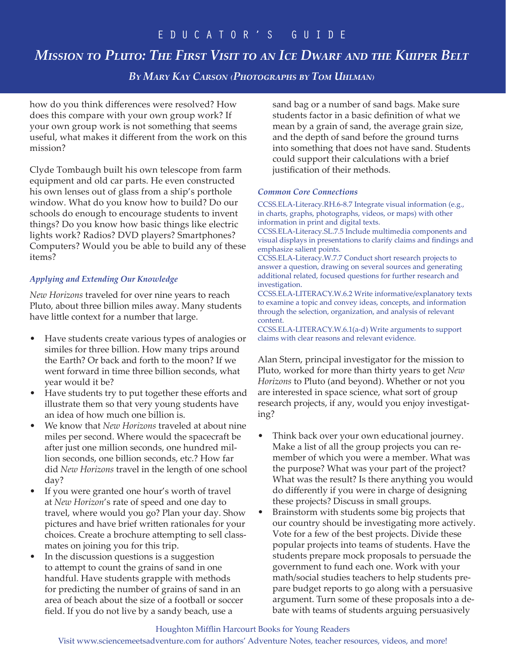## *Mission to Pluto: The First Visit to an Ice Dwarf and the Kuiper Belt*

*By Mary Kay Carson (Photographs by Tom Uhlman)*

how do you think differences were resolved? How does this compare with your own group work? If your own group work is not something that seems useful, what makes it different from the work on this mission?

Clyde Tombaugh built his own telescope from farm equipment and old car parts. He even constructed his own lenses out of glass from a ship's porthole window. What do you know how to build? Do our schools do enough to encourage students to invent things? Do you know how basic things like electric lights work? Radios? DVD players? Smartphones? Computers? Would you be able to build any of these items?

#### *Applying and Extending Our Knowledge*

*New Horizons* traveled for over nine years to reach Pluto, about three billion miles away. Many students have little context for a number that large.

- Have students create various types of analogies or similes for three billion. How many trips around the Earth? Or back and forth to the moon? If we went forward in time three billion seconds, what year would it be?
- Have students try to put together these efforts and illustrate them so that very young students have an idea of how much one billion is.
- We know that *New Horizons* traveled at about nine miles per second. Where would the spacecraft be after just one million seconds, one hundred million seconds, one billion seconds, etc.? How far did *New Horizons* travel in the length of one school day?
- If you were granted one hour's worth of travel at *New Horizon*'s rate of speed and one day to travel, where would you go? Plan your day. Show pictures and have brief written rationales for your choices. Create a brochure attempting to sell classmates on joining you for this trip.
- In the discussion questions is a suggestion to attempt to count the grains of sand in one handful. Have students grapple with methods for predicting the number of grains of sand in an area of beach about the size of a football or soccer field. If you do not live by a sandy beach, use a

sand bag or a number of sand bags. Make sure students factor in a basic definition of what we mean by a grain of sand, the average grain size, and the depth of sand before the ground turns into something that does not have sand. Students could support their calculations with a brief justification of their methods.

#### *Common Core Connections*

CCSS.ELA-Literacy.RH.6-8.7 Integrate visual information (e.g., in charts, graphs, photographs, videos, or maps) with other information in print and digital texts.

CCSS.ELA-Literacy.SL.7.5 Include multimedia components and visual displays in presentations to clarify claims and findings and emphasize salient points.

CCSS.ELA-Literacy.W.7.7 Conduct short research projects to answer a question, drawing on several sources and generating additional related, focused questions for further research and investigation.

CCSS.ELA-LITERACY.W.6.2 Write informative/explanatory texts to examine a topic and convey ideas, concepts, and information through the selection, organization, and analysis of relevant content.

CCSS.ELA-LITERACY.W.6.1(a-d) Write arguments to support claims with clear reasons and relevant evidence.

Alan Stern, principal investigator for the mission to Pluto, worked for more than thirty years to get *New Horizons* to Pluto (and beyond). Whether or not you are interested in space science, what sort of group research projects, if any, would you enjoy investigating?

- Think back over your own educational journey. Make a list of all the group projects you can remember of which you were a member. What was the purpose? What was your part of the project? What was the result? Is there anything you would do differently if you were in charge of designing these projects? Discuss in small groups.
- Brainstorm with students some big projects that our country should be investigating more actively. Vote for a few of the best projects. Divide these popular projects into teams of students. Have the students prepare mock proposals to persuade the government to fund each one. Work with your math/social studies teachers to help students prepare budget reports to go along with a persuasive argument. Turn some of these proposals into a debate with teams of students arguing persuasively

#### Houghton Mifflin Harcourt Books for Young Readers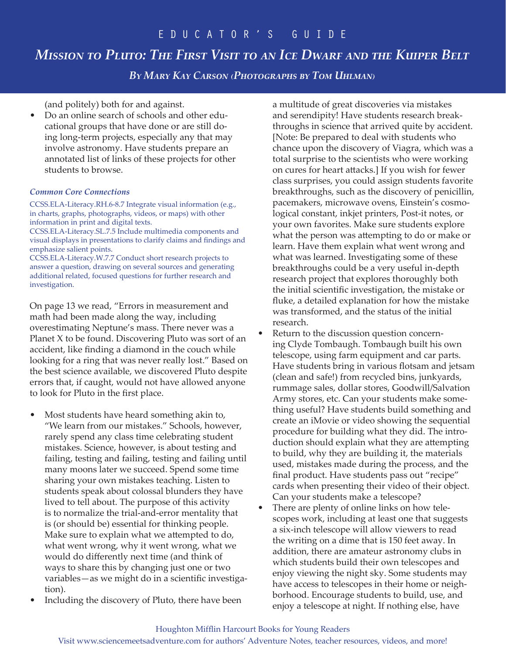## *Mission to Pluto: The First Visit to an Ice Dwarf and the Kuiper Belt*

*By Mary Kay Carson (Photographs by Tom Uhlman)*

(and politely) both for and against.

• Do an online search of schools and other educational groups that have done or are still doing long-term projects, especially any that may involve astronomy. Have students prepare an annotated list of links of these projects for other students to browse.

#### *Common Core Connections*

CCSS.ELA-Literacy.RH.6-8.7 Integrate visual information (e.g., in charts, graphs, photographs, videos, or maps) with other information in print and digital texts.

CCSS.ELA-Literacy.SL.7.5 Include multimedia components and visual displays in presentations to clarify claims and findings and emphasize salient points.

CCSS.ELA-Literacy.W.7.7 Conduct short research projects to answer a question, drawing on several sources and generating additional related, focused questions for further research and investigation.

On page 13 we read, "Errors in measurement and math had been made along the way, including overestimating Neptune's mass. There never was a Planet X to be found. Discovering Pluto was sort of an accident, like finding a diamond in the couch while looking for a ring that was never really lost." Based on the best science available, we discovered Pluto despite errors that, if caught, would not have allowed anyone to look for Pluto in the first place.

- Most students have heard something akin to, "We learn from our mistakes." Schools, however, rarely spend any class time celebrating student mistakes. Science, however, is about testing and failing, testing and failing, testing and failing until many moons later we succeed. Spend some time sharing your own mistakes teaching. Listen to students speak about colossal blunders they have lived to tell about. The purpose of this activity is to normalize the trial-and-error mentality that is (or should be) essential for thinking people. Make sure to explain what we attempted to do, what went wrong, why it went wrong, what we would do differently next time (and think of ways to share this by changing just one or two variables—as we might do in a scientific investigation).
- Including the discovery of Pluto, there have been

a multitude of great discoveries via mistakes and serendipity! Have students research breakthroughs in science that arrived quite by accident. [Note: Be prepared to deal with students who chance upon the discovery of Viagra, which was a total surprise to the scientists who were working on cures for heart attacks.] If you wish for fewer class surprises, you could assign students favorite breakthroughs, such as the discovery of penicillin, pacemakers, microwave ovens, Einstein's cosmological constant, inkjet printers, Post-it notes, or your own favorites. Make sure students explore what the person was attempting to do or make or learn. Have them explain what went wrong and what was learned. Investigating some of these breakthroughs could be a very useful in-depth research project that explores thoroughly both the initial scientific investigation, the mistake or fluke, a detailed explanation for how the mistake was transformed, and the status of the initial research.

- Return to the discussion question concerning Clyde Tombaugh. Tombaugh built his own telescope, using farm equipment and car parts. Have students bring in various flotsam and jetsam (clean and safe!) from recycled bins, junkyards, rummage sales, dollar stores, Goodwill/Salvation Army stores, etc. Can your students make something useful? Have students build something and create an iMovie or video showing the sequential procedure for building what they did. The introduction should explain what they are attempting to build, why they are building it, the materials used, mistakes made during the process, and the final product. Have students pass out "recipe" cards when presenting their video of their object. Can your students make a telescope?
- There are plenty of online links on how telescopes work, including at least one that suggests a six-inch telescope will allow viewers to read the writing on a dime that is 150 feet away. In addition, there are amateur astronomy clubs in which students build their own telescopes and enjoy viewing the night sky. Some students may have access to telescopes in their home or neighborhood. Encourage students to build, use, and enjoy a telescope at night. If nothing else, have

Visit www.sciencemeetsadventure.com for authors' Adventure Notes, teacher resources, videos, and more!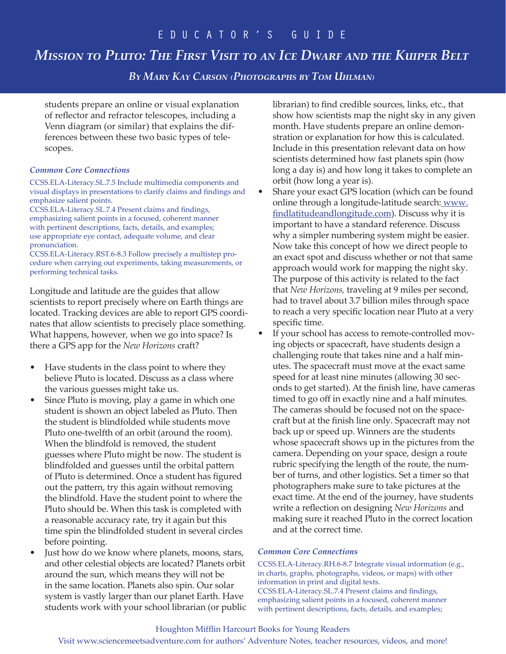## *Mission to Pluto: The First Visit to an Ice Dwarf and the Kuiper Belt*

*By Mary Kay Carson (Photographs by Tom Uhlman)*

students prepare an online or visual explanation of reflector and refractor telescopes, including a Venn diagram (or similar) that explains the differences between these two basic types of telescopes.

#### *Common Core Connections*

CCSS.ELA-Literacy.SL.7.5 Include multimedia components and visual displays in presentations to clarify claims and findings and emphasize salient points.

CCSS.ELA-Literacy.SL.7.4 Present claims and findings, emphasizing salient points in a focused, coherent manner with pertinent descriptions, facts, details, and examples; use appropriate eye contact, adequate volume, and clear pronunciation.

CCSS.ELA-Literacy.RST.6-8.3 Follow precisely a multistep procedure when carrying out experiments, taking measurements, or performing technical tasks.

Longitude and latitude are the guides that allow scientists to report precisely where on Earth things are located. Tracking devices are able to report GPS coordinates that allow scientists to precisely place something. What happens, however, when we go into space? Is there a GPS app for the *New Horizons* craft?

- Have students in the class point to where they believe Pluto is located. Discuss as a class where the various guesses might take us.
- Since Pluto is moving, play a game in which one student is shown an object labeled as Pluto. Then the student is blindfolded while students move Pluto one-twelfth of an orbit (around the room). When the blindfold is removed, the student guesses where Pluto might be now. The student is blindfolded and guesses until the orbital pattern of Pluto is determined. Once a student has figured out the pattern, try this again without removing the blindfold. Have the student point to where the Pluto should be. When this task is completed with a reasonable accuracy rate, try it again but this time spin the blindfolded student in several circles before pointing.
- Just how do we know where planets, moons, stars, and other celestial objects are located? Planets orbit around the sun, which means they will not be in the same location. Planets also spin. Our solar system is vastly larger than our planet Earth. Have students work with your school librarian (or public

librarian) to find credible sources, links, etc., that show how scientists map the night sky in any given month. Have students prepare an online demonstration or explanation for how this is calculated. Include in this presentation relevant data on how scientists determined how fast planets spin (how long a day is) and how long it takes to complete an orbit (how long a year is).

- Share your exact GPS location (which can be found online through a longitude-latitude search: www. findlatitudeandlongitude.com). Discuss why it is important to have a standard reference. Discuss why a simpler numbering system might be easier. Now take this concept of how we direct people to an exact spot and discuss whether or not that same approach would work for mapping the night sky. The purpose of this activity is related to the fact that *New Horizons,* traveling at 9 miles per second, had to travel about 3.7 billion miles through space to reach a very specific location near Pluto at a very specific time.
- If your school has access to remote-controlled moving objects or spacecraft, have students design a challenging route that takes nine and a half minutes. The spacecraft must move at the exact same speed for at least nine minutes (allowing 30 seconds to get started). At the finish line, have cameras timed to go off in exactly nine and a half minutes. The cameras should be focused not on the spacecraft but at the finish line only. Spacecraft may not back up or speed up. Winners are the students whose spacecraft shows up in the pictures from the camera. Depending on your space, design a route rubric specifying the length of the route, the number of turns, and other logistics. Set a timer so that photographers make sure to take pictures at the exact time. At the end of the journey, have students write a reflection on designing *New Horizons* and making sure it reached Pluto in the correct location and at the correct time.

#### *Common Core Connections*

CCSS.ELA-Literacy.RH.6-8.7 Integrate visual information (e.g., in charts, graphs, photographs, videos, or maps) with other information in print and digital texts. CCSS.ELA-Literacy.SL.7.4 Present claims and findings, emphasizing salient points in a focused, coherent manner with pertinent descriptions, facts, details, and examples;

#### Houghton Mifflin Harcourt Books for Young Readers

Visit www.sciencemeetsadventure.com for authors' Adventure Notes, teacher resources, videos, and more!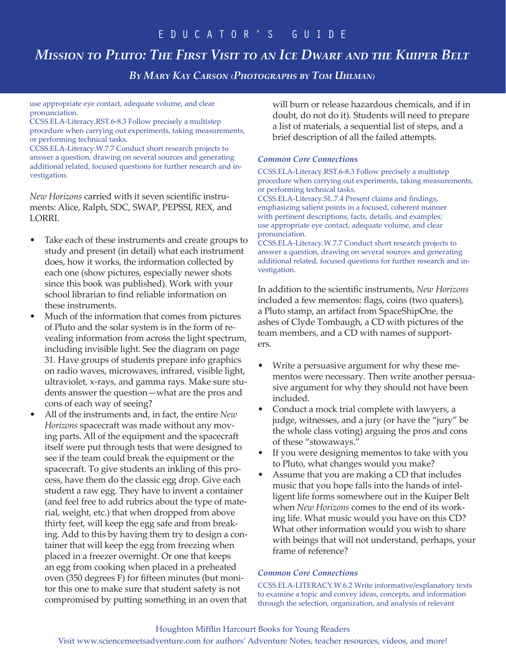## *Mission to Pluto: The First Visit to an Ice Dwarf and the Kuiper Belt*

*By Mary Kay Carson (Photographs by Tom Uhlman)*

use appropriate eye contact, adequate volume, and clear pronunciation.

CCSS.ELA-Literacy.RST.6-8.3 Follow precisely a multistep procedure when carrying out experiments, taking measurements, or performing technical tasks.

CCSS.ELA-Literacy.W.7.7 Conduct short research projects to answer a question, drawing on several sources and generating additional related, focused questions for further research and investigation.

*New Horizons* carried with it seven scientific instruments: Alice, Ralph, SDC, SWAP, PEPSSI, REX, and LORRI.

- Take each of these instruments and create groups to study and present (in detail) what each instrument does, how it works, the information collected by each one (show pictures, especially newer shots since this book was published). Work with your school librarian to find reliable information on these instruments.
- Much of the information that comes from pictures of Pluto and the solar system is in the form of revealing information from across the light spectrum, including invisible light. See the diagram on page 31. Have groups of students prepare info graphics on radio waves, microwaves, infrared, visible light, ultraviolet, x-rays, and gamma rays. Make sure students answer the question—what are the pros and cons of each way of seeing?
- All of the instruments and, in fact, the entire *New Horizons* spacecraft was made without any moving parts. All of the equipment and the spacecraft itself were put through tests that were designed to see if the team could break the equipment or the spacecraft. To give students an inkling of this process, have them do the classic egg drop. Give each student a raw egg. They have to invent a container (and feel free to add rubrics about the type of material, weight, etc.) that when dropped from above thirty feet, will keep the egg safe and from breaking. Add to this by having them try to design a container that will keep the egg from freezing when placed in a freezer overnight. Or one that keeps an egg from cooking when placed in a preheated oven (350 degrees F) for fifteen minutes (but monitor this one to make sure that student safety is not compromised by putting something in an oven that

will burn or release hazardous chemicals, and if in doubt, do not do it). Students will need to prepare a list of materials, a sequential list of steps, and a brief description of all the failed attempts.

#### *Common Core Connections*

CCSS.ELA-Literacy.RST.6-8.3 Follow precisely a multistep procedure when carrying out experiments, taking measurements, or performing technical tasks. CCSS.ELA-Literacy.SL.7.4 Present claims and findings,

emphasizing salient points in a focused, coherent manner with pertinent descriptions, facts, details, and examples; use appropriate eye contact, adequate volume, and clear pronunciation.

CCSS.ELA-Literacy.W.7.7 Conduct short research projects to answer a question, drawing on several sources and generating additional related, focused questions for further research and investigation.

In addition to the scientific instruments, *New Horizons* included a few mementos: flags, coins (two quaters), a Pluto stamp, an artifact from SpaceShipOne, the ashes of Clyde Tombaugh, a CD with pictures of the team members, and a CD with names of supporters.

- Write a persuasive argument for why these mementos were necessary. Then write another persuasive argument for why they should not have been included.
- Conduct a mock trial complete with lawyers, a judge, witnesses, and a jury (or have the "jury" be the whole class voting) arguing the pros and cons of these "stowaways."
- If you were designing mementos to take with you to Pluto, what changes would you make?
- Assume that you are making a CD that includes music that you hope falls into the hands of intelligent life forms somewhere out in the Kuiper Belt when *New Horizons* comes to the end of its working life. What music would you have on this CD? What other information would you wish to share with beings that will not understand, perhaps, your frame of reference?

#### *Common Core Connections*

CCSS.ELA-LITERACY.W.6.2 Write informative/explanatory texts to examine a topic and convey ideas, concepts, and information through the selection, organization, and analysis of relevant

#### Houghton Mifflin Harcourt Books for Young Readers

Visit www.sciencemeetsadventure.com for authors' Adventure Notes, teacher resources, videos, and more!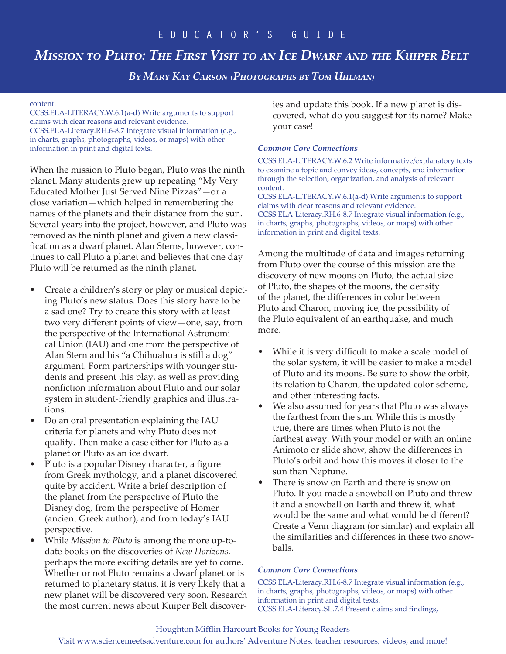# *Mission to Pluto: The First Visit to an Ice Dwarf and the Kuiper Belt*

*By Mary Kay Carson (Photographs by Tom Uhlman)*

#### content.

CCSS.ELA-LITERACY.W.6.1(a-d) Write arguments to support claims with clear reasons and relevant evidence. CCSS.ELA-Literacy.RH.6-8.7 Integrate visual information (e.g., in charts, graphs, photographs, videos, or maps) with other information in print and digital texts.

When the mission to Pluto began, Pluto was the ninth planet. Many students grew up repeating "My Very Educated Mother Just Served Nine Pizzas"—or a close variation—which helped in remembering the names of the planets and their distance from the sun. Several years into the project, however, and Pluto was removed as the ninth planet and given a new classification as a dwarf planet. Alan Sterns, however, continues to call Pluto a planet and believes that one day Pluto will be returned as the ninth planet.

- Create a children's story or play or musical depicting Pluto's new status. Does this story have to be a sad one? Try to create this story with at least two very different points of view—one, say, from the perspective of the International Astronomical Union (IAU) and one from the perspective of Alan Stern and his "a Chihuahua is still a dog" argument. Form partnerships with younger students and present this play, as well as providing nonfiction information about Pluto and our solar system in student-friendly graphics and illustrations.
- Do an oral presentation explaining the IAU criteria for planets and why Pluto does not qualify. Then make a case either for Pluto as a planet or Pluto as an ice dwarf.
- Pluto is a popular Disney character, a figure from Greek mythology, and a planet discovered quite by accident. Write a brief description of the planet from the perspective of Pluto the Disney dog, from the perspective of Homer (ancient Greek author), and from today's IAU perspective.
- While *Mission to Pluto* is among the more up-todate books on the discoveries of *New Horizons,* perhaps the more exciting details are yet to come. Whether or not Pluto remains a dwarf planet or is returned to planetary status, it is very likely that a new planet will be discovered very soon. Research the most current news about Kuiper Belt discover-

ies and update this book. If a new planet is discovered, what do you suggest for its name? Make your case!

#### *Common Core Connections*

CCSS.ELA-LITERACY.W.6.2 Write informative/explanatory texts to examine a topic and convey ideas, concepts, and information through the selection, organization, and analysis of relevant content.

CCSS.ELA-LITERACY.W.6.1(a-d) Write arguments to support claims with clear reasons and relevant evidence. CCSS.ELA-Literacy.RH.6-8.7 Integrate visual information (e.g., in charts, graphs, photographs, videos, or maps) with other information in print and digital texts.

Among the multitude of data and images returning from Pluto over the course of this mission are the discovery of new moons on Pluto, the actual size of Pluto, the shapes of the moons, the density of the planet, the differences in color between Pluto and Charon, moving ice, the possibility of the Pluto equivalent of an earthquake, and much more.

- While it is very difficult to make a scale model of the solar system, it will be easier to make a model of Pluto and its moons. Be sure to show the orbit, its relation to Charon, the updated color scheme, and other interesting facts.
- We also assumed for years that Pluto was always the farthest from the sun. While this is mostly true, there are times when Pluto is not the farthest away. With your model or with an online Animoto or slide show, show the differences in Pluto's orbit and how this moves it closer to the sun than Neptune.
- There is snow on Earth and there is snow on Pluto. If you made a snowball on Pluto and threw it and a snowball on Earth and threw it, what would be the same and what would be different? Create a Venn diagram (or similar) and explain all the similarities and differences in these two snowballs.

#### *Common Core Connections*

CCSS.ELA-Literacy.RH.6-8.7 Integrate visual information (e.g., in charts, graphs, photographs, videos, or maps) with other information in print and digital texts. CCSS.ELA-Literacy.SL.7.4 Present claims and findings,

#### Houghton Mifflin Harcourt Books for Young Readers

Visit www.sciencemeetsadventure.com for authors' Adventure Notes, teacher resources, videos, and more!